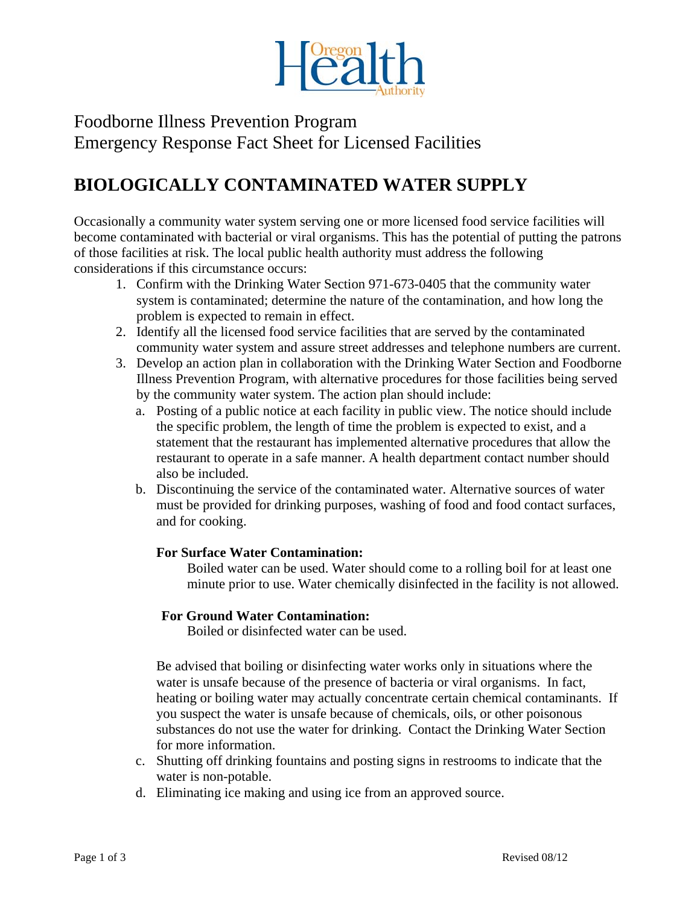

Foodborne Illness Prevention Program Emergency Response Fact Sheet for Licensed Facilities

# **BIOLOGICALLY CONTAMINATED WATER SUPPLY**

Occasionally a community water system serving one or more licensed food service facilities will become contaminated with bacterial or viral organisms. This has the potential of putting the patrons of those facilities at risk. The local public health authority must address the following considerations if this circumstance occurs:

- 1. Confirm with the Drinking Water Section 971-673-0405 that the community water system is contaminated; determine the nature of the contamination, and how long the problem is expected to remain in effect.
- 2. Identify all the licensed food service facilities that are served by the contaminated community water system and assure street addresses and telephone numbers are current.
- 3. Develop an action plan in collaboration with the Drinking Water Section and Foodborne Illness Prevention Program, with alternative procedures for those facilities being served by the community water system. The action plan should include:
	- a. Posting of a public notice at each facility in public view. The notice should include the specific problem, the length of time the problem is expected to exist, and a statement that the restaurant has implemented alternative procedures that allow the restaurant to operate in a safe manner. A health department contact number should also be included.
	- b. Discontinuing the service of the contaminated water. Alternative sources of water must be provided for drinking purposes, washing of food and food contact surfaces, and for cooking.

### **For Surface Water Contamination:**

Boiled water can be used. Water should come to a rolling boil for at least one minute prior to use. Water chemically disinfected in the facility is not allowed.

### **For Ground Water Contamination:**

Boiled or disinfected water can be used.

Be advised that boiling or disinfecting water works only in situations where the water is unsafe because of the presence of bacteria or viral organisms. In fact, heating or boiling water may actually concentrate certain chemical contaminants. If you suspect the water is unsafe because of chemicals, oils, or other poisonous substances do not use the water for drinking. Contact the Drinking Water Section for more information.

- c. Shutting off drinking fountains and posting signs in restrooms to indicate that the water is non-potable.
- d. Eliminating ice making and using ice from an approved source.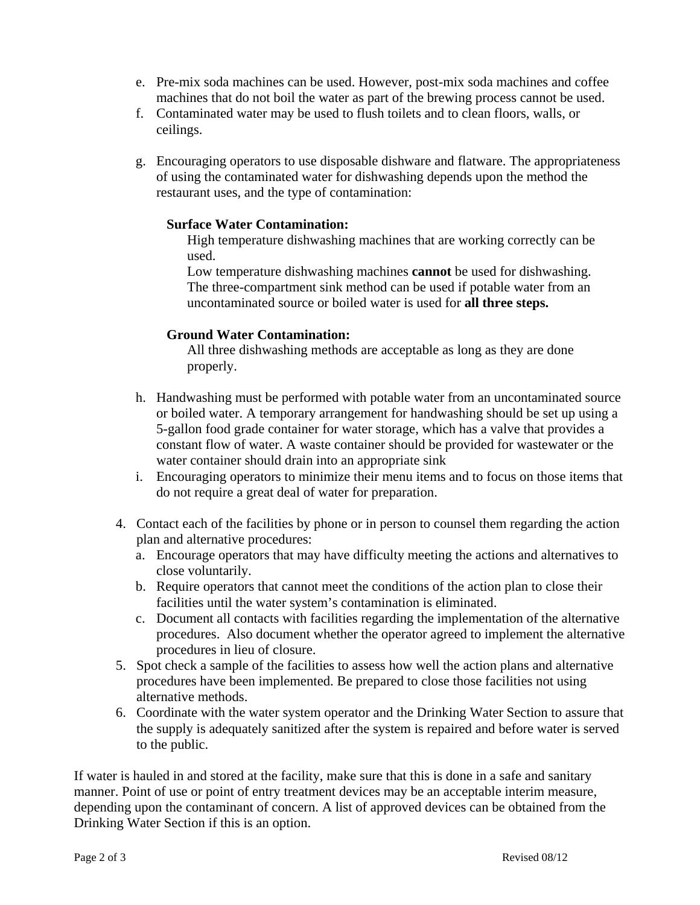- e. Pre-mix soda machines can be used. However, post-mix soda machines and coffee machines that do not boil the water as part of the brewing process cannot be used.
- f. Contaminated water may be used to flush toilets and to clean floors, walls, or ceilings.
- g. Encouraging operators to use disposable dishware and flatware. The appropriateness of using the contaminated water for dishwashing depends upon the method the restaurant uses, and the type of contamination:

#### **Surface Water Contamination:**

High temperature dishwashing machines that are working correctly can be used.

Low temperature dishwashing machines **cannot** be used for dishwashing. The three-compartment sink method can be used if potable water from an uncontaminated source or boiled water is used for **all three steps.**

#### **Ground Water Contamination:**

All three dishwashing methods are acceptable as long as they are done properly.

- h. Handwashing must be performed with potable water from an uncontaminated source or boiled water. A temporary arrangement for handwashing should be set up using a 5-gallon food grade container for water storage, which has a valve that provides a constant flow of water. A waste container should be provided for wastewater or the water container should drain into an appropriate sink
- i. Encouraging operators to minimize their menu items and to focus on those items that do not require a great deal of water for preparation.
- 4. Contact each of the facilities by phone or in person to counsel them regarding the action plan and alternative procedures:
	- a. Encourage operators that may have difficulty meeting the actions and alternatives to close voluntarily.
	- b. Require operators that cannot meet the conditions of the action plan to close their facilities until the water system's contamination is eliminated.
	- c. Document all contacts with facilities regarding the implementation of the alternative procedures. Also document whether the operator agreed to implement the alternative procedures in lieu of closure.
- 5. Spot check a sample of the facilities to assess how well the action plans and alternative procedures have been implemented. Be prepared to close those facilities not using alternative methods.
- 6. Coordinate with the water system operator and the Drinking Water Section to assure that the supply is adequately sanitized after the system is repaired and before water is served to the public.

If water is hauled in and stored at the facility, make sure that this is done in a safe and sanitary manner. Point of use or point of entry treatment devices may be an acceptable interim measure, depending upon the contaminant of concern. A list of approved devices can be obtained from the Drinking Water Section if this is an option.